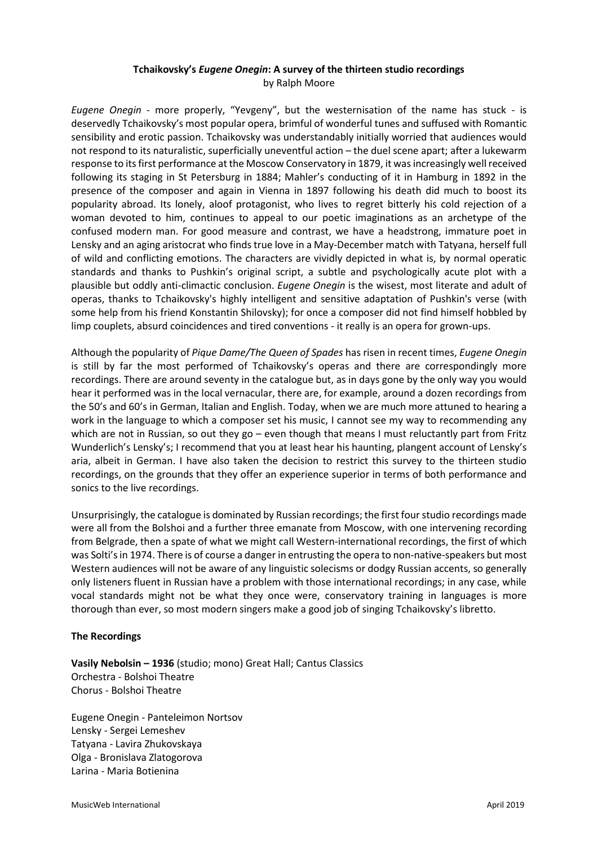# **Tchaikovsky's** *Eugene Onegin***: A survey of the thirteen studio recordings** by Ralph Moore

*Eugene Onegin* - more properly, "Yevgeny", but the westernisation of the name has stuck - is deservedly Tchaikovsky's most popular opera, brimful of wonderful tunes and suffused with Romantic sensibility and erotic passion. Tchaikovsky was understandably initially worried that audiences would not respond to its naturalistic, superficially uneventful action – the duel scene apart; after a lukewarm response to its first performance at the Moscow Conservatory in 1879, it wasincreasingly well received following its staging in St Petersburg in 1884; Mahler's conducting of it in Hamburg in 1892 in the presence of the composer and again in Vienna in 1897 following his death did much to boost its popularity abroad. Its lonely, aloof protagonist, who lives to regret bitterly his cold rejection of a woman devoted to him, continues to appeal to our poetic imaginations as an archetype of the confused modern man. For good measure and contrast, we have a headstrong, immature poet in Lensky and an aging aristocrat who finds true love in a May-December match with Tatyana, herself full of wild and conflicting emotions. The characters are vividly depicted in what is, by normal operatic standards and thanks to Pushkin's original script, a subtle and psychologically acute plot with a plausible but oddly anti-climactic conclusion. *Eugene Onegin* is the wisest, most literate and adult of operas, thanks to Tchaikovsky's highly intelligent and sensitive adaptation of Pushkin's verse (with some help from his friend Konstantin Shilovsky); for once a composer did not find himself hobbled by limp couplets, absurd coincidences and tired conventions - it really is an opera for grown-ups.

Although the popularity of *Pique Dame/The Queen of Spades* has risen in recent times, *Eugene Onegin* is still by far the most performed of Tchaikovsky's operas and there are correspondingly more recordings. There are around seventy in the catalogue but, as in days gone by the only way you would hear it performed was in the local vernacular, there are, for example, around a dozen recordings from the 50's and 60's in German, Italian and English. Today, when we are much more attuned to hearing a work in the language to which a composer set his music, I cannot see my way to recommending any which are not in Russian, so out they go – even though that means I must reluctantly part from Fritz Wunderlich's Lensky's; I recommend that you at least hear his haunting, plangent account of Lensky's aria, albeit in German. I have also taken the decision to restrict this survey to the thirteen studio recordings, on the grounds that they offer an experience superior in terms of both performance and sonics to the live recordings.

Unsurprisingly, the catalogue is dominated by Russian recordings; the first four studio recordings made were all from the Bolshoi and a further three emanate from Moscow, with one intervening recording from Belgrade, then a spate of what we might call Western-international recordings, the first of which was Solti's in 1974. There is of course a danger in entrusting the opera to non-native-speakers but most Western audiences will not be aware of any linguistic solecisms or dodgy Russian accents, so generally only listeners fluent in Russian have a problem with those international recordings; in any case, while vocal standards might not be what they once were, conservatory training in languages is more thorough than ever, so most modern singers make a good job of singing Tchaikovsky's libretto.

## **The Recordings**

**Vasily Nebolsin – 1936** (studio; mono) Great Hall; Cantus Classics Orchestra - Bolshoi Theatre Chorus - Bolshoi Theatre

Eugene Onegin - Panteleimon Nortsov Lensky - Sergei Lemeshev Tatyana - Lavira Zhukovskaya Olga - Bronislava Zlatogorova Larina - Maria Botienina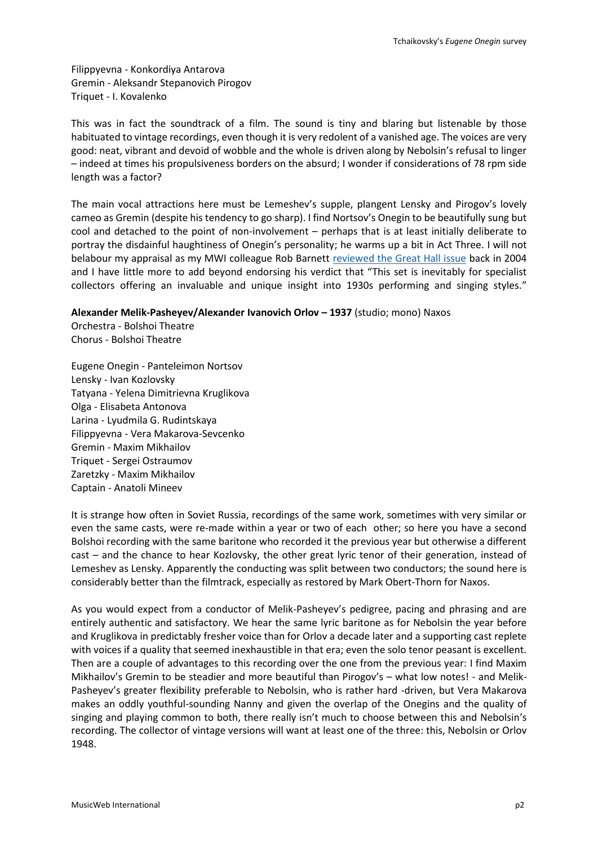Filippyevna - Konkordiya Antarova Gremin - Aleksandr Stepanovich Pirogov Triquet - I. Kovalenko

This was in fact the soundtrack of a film. The sound is tiny and blaring but listenable by those habituated to vintage recordings, even though it is very redolent of a vanished age. The voices are very good: neat, vibrant and devoid of wobble and the whole is driven along by Nebolsin's refusal to linger – indeed at times his propulsiveness borders on the absurd; I wonder if considerations of 78 rpm side length was a factor?

The main vocal attractions here must be Lemeshev's supple, plangent Lensky and Pirogov's lovely cameo as Gremin (despite his tendency to go sharp). I find Nortsov's Onegin to be beautifully sung but cool and detached to the point of non-involvement – perhaps that is at least initially deliberate to portray the disdainful haughtiness of Onegin's personality; he warms up a bit in Act Three. I will not belabour my appraisal as my MWI colleague Rob Barnett [reviewed the Great Hall issue](http://www.musicweb-international.com/classrev/2004/Aug04/Onegin.htm) back in 2004 and I have little more to add beyond endorsing his verdict that "This set is inevitably for specialist collectors offering an invaluable and unique insight into 1930s performing and singing styles."

**Alexander Melik-Pasheyev/Alexander Ivanovich Orlov – 1937** (studio; mono) Naxos

Orchestra - Bolshoi Theatre Chorus - Bolshoi Theatre

Eugene Onegin - Panteleimon Nortsov Lensky - Ivan Kozlovsky Tatyana - Yelena Dimitrievna Kruglikova Olga - Elisabeta Antonova Larina - Lyudmila G. Rudintskaya Filippyevna - Vera Makarova-Sevcenko Gremin - Maxim Mikhailov Triquet - Sergei Ostraumov Zaretzky - Maxim Mikhailov Captain - Anatoli Mineev

It is strange how often in Soviet Russia, recordings of the same work, sometimes with very similar or even the same casts, were re-made within a year or two of each other; so here you have a second Bolshoi recording with the same baritone who recorded it the previous year but otherwise a different cast – and the chance to hear Kozlovsky, the other great lyric tenor of their generation, instead of Lemeshev as Lensky. Apparently the conducting was split between two conductors; the sound here is considerably better than the filmtrack, especially as restored by Mark Obert-Thorn for Naxos.

As you would expect from a conductor of Melik-Pasheyev's pedigree, pacing and phrasing and are entirely authentic and satisfactory. We hear the same lyric baritone as for Nebolsin the year before and Kruglikova in predictably fresher voice than for Orlov a decade later and a supporting cast replete with voices if a quality that seemed inexhaustible in that era; even the solo tenor peasant is excellent. Then are a couple of advantages to this recording over the one from the previous year: I find Maxim Mikhailov's Gremin to be steadier and more beautiful than Pirogov's – what low notes! - and Melik-Pasheyev's greater flexibility preferable to Nebolsin, who is rather hard -driven, but Vera Makarova makes an oddly youthful-sounding Nanny and given the overlap of the Onegins and the quality of singing and playing common to both, there really isn't much to choose between this and Nebolsin's recording. The collector of vintage versions will want at least one of the three: this, Nebolsin or Orlov 1948.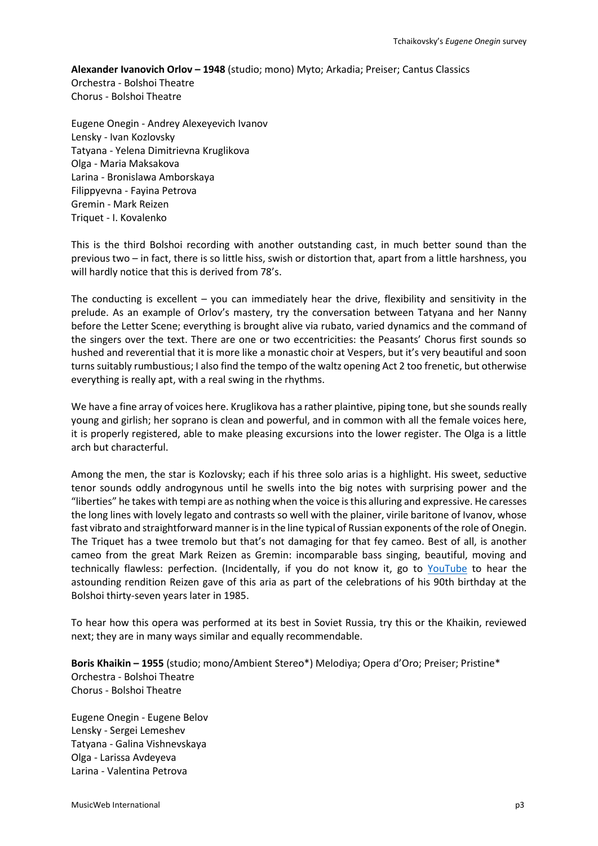#### **Alexander Ivanovich Orlov – 1948** (studio; mono) Myto; Arkadia; Preiser; Cantus Classics

Orchestra - Bolshoi Theatre Chorus - Bolshoi Theatre

Eugene Onegin - Andrey Alexeyevich Ivanov Lensky - Ivan Kozlovsky Tatyana - Yelena Dimitrievna Kruglikova Olga - Maria Maksakova Larina - Bronislawa Amborskaya Filippyevna - Fayina Petrova Gremin - Mark Reizen Triquet - I. Kovalenko

This is the third Bolshoi recording with another outstanding cast, in much better sound than the previous two – in fact, there is so little hiss, swish or distortion that, apart from a little harshness, you will hardly notice that this is derived from 78's.

The conducting is excellent – you can immediately hear the drive, flexibility and sensitivity in the prelude. As an example of Orlov's mastery, try the conversation between Tatyana and her Nanny before the Letter Scene; everything is brought alive via rubato, varied dynamics and the command of the singers over the text. There are one or two eccentricities: the Peasants' Chorus first sounds so hushed and reverential that it is more like a monastic choir at Vespers, but it's very beautiful and soon turns suitably rumbustious; I also find the tempo of the waltz opening Act 2 too frenetic, but otherwise everything is really apt, with a real swing in the rhythms.

We have a fine array of voices here. Kruglikova has a rather plaintive, piping tone, but she sounds really young and girlish; her soprano is clean and powerful, and in common with all the female voices here, it is properly registered, able to make pleasing excursions into the lower register. The Olga is a little arch but characterful.

Among the men, the star is Kozlovsky; each if his three solo arias is a highlight. His sweet, seductive tenor sounds oddly androgynous until he swells into the big notes with surprising power and the "liberties" he takes with tempi are as nothing when the voice is this alluring and expressive. He caresses the long lines with lovely legato and contrasts so well with the plainer, virile baritone of Ivanov, whose fast vibrato and straightforward manner is in the line typical of Russian exponents of the role of Onegin. The Triquet has a twee tremolo but that's not damaging for that fey cameo. Best of all, is another cameo from the great Mark Reizen as Gremin: incomparable bass singing, beautiful, moving and technically flawless: perfection. (Incidentally, if you do not know it, go to YouTube to hear the astounding rendition Reizen gave of this aria as part of the celebrations of his 90th birthday at the Bolshoi thirty-seven years later in 1985.

To hear how this opera was performed at its best in Soviet Russia, try this or the Khaikin, reviewed next; they are in many ways similar and equally recommendable.

**Boris Khaikin – 1955** (studio; mono/Ambient Stereo\*) Melodiya; Opera d'Oro; Preiser; Pristine\* Orchestra - Bolshoi Theatre Chorus - Bolshoi Theatre

Eugene Onegin - Eugene Belov Lensky - Sergei Lemeshev Tatyana - Galina Vishnevskaya Olga - Larissa Avdeyeva Larina - Valentina Petrova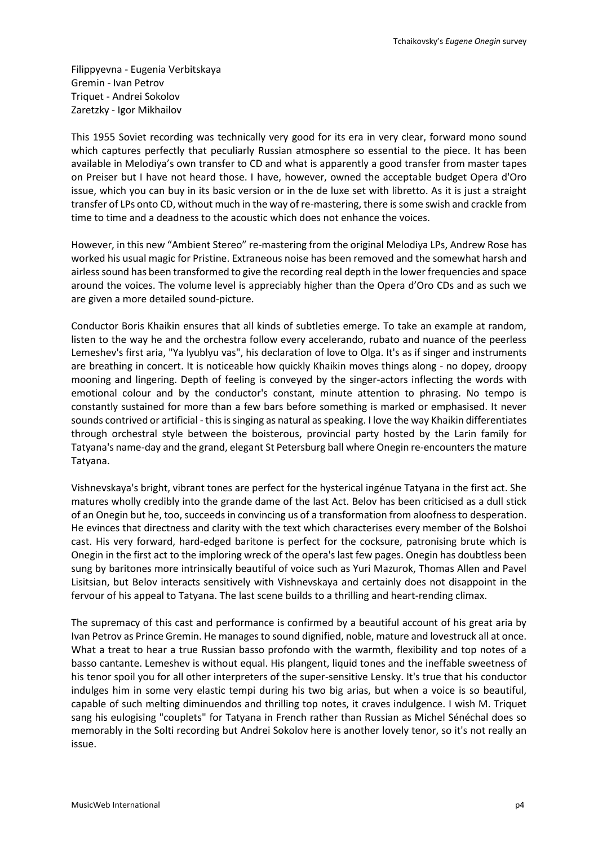Filippyevna - Eugenia Verbitskaya Gremin - Ivan Petrov Triquet - Andrei Sokolov Zaretzky - Igor Mikhailov

This 1955 Soviet recording was technically very good for its era in very clear, forward mono sound which captures perfectly that peculiarly Russian atmosphere so essential to the piece. It has been available in Melodiya's own transfer to CD and what is apparently a good transfer from master tapes on Preiser but I have not heard those. I have, however, owned the acceptable budget Opera d'Oro issue, which you can buy in its basic version or in the de luxe set with libretto. As it is just a straight transfer of LPs onto CD, without much in the way of re-mastering, there is some swish and crackle from time to time and a deadness to the acoustic which does not enhance the voices.

However, in this new "Ambient Stereo" re-mastering from the original Melodiya LPs, Andrew Rose has worked his usual magic for Pristine. Extraneous noise has been removed and the somewhat harsh and airless sound has been transformed to give the recording real depth in the lower frequencies and space around the voices. The volume level is appreciably higher than the Opera d'Oro CDs and as such we are given a more detailed sound-picture.

Conductor Boris Khaikin ensures that all kinds of subtleties emerge. To take an example at random, listen to the way he and the orchestra follow every accelerando, rubato and nuance of the peerless Lemeshev's first aria, "Ya lyublyu vas", his declaration of love to Olga. It's as if singer and instruments are breathing in concert. It is noticeable how quickly Khaikin moves things along - no dopey, droopy mooning and lingering. Depth of feeling is conveyed by the singer-actors inflecting the words with emotional colour and by the conductor's constant, minute attention to phrasing. No tempo is constantly sustained for more than a few bars before something is marked or emphasised. It never sounds contrived or artificial - this is singing as natural as speaking. I love the way Khaikin differentiates through orchestral style between the boisterous, provincial party hosted by the Larin family for Tatyana's name-day and the grand, elegant St Petersburg ball where Onegin re-encounters the mature Tatyana.

Vishnevskaya's bright, vibrant tones are perfect for the hysterical ingénue Tatyana in the first act. She matures wholly credibly into the grande dame of the last Act. Belov has been criticised as a dull stick of an Onegin but he, too, succeeds in convincing us of a transformation from aloofness to desperation. He evinces that directness and clarity with the text which characterises every member of the Bolshoi cast. His very forward, hard-edged baritone is perfect for the cocksure, patronising brute which is Onegin in the first act to the imploring wreck of the opera's last few pages. Onegin has doubtless been sung by baritones more intrinsically beautiful of voice such as Yuri Mazurok, Thomas Allen and Pavel Lisitsian, but Belov interacts sensitively with Vishnevskaya and certainly does not disappoint in the fervour of his appeal to Tatyana. The last scene builds to a thrilling and heart-rending climax.

The supremacy of this cast and performance is confirmed by a beautiful account of his great aria by Ivan Petrov as Prince Gremin. He manages to sound dignified, noble, mature and lovestruck all at once. What a treat to hear a true Russian basso profondo with the warmth, flexibility and top notes of a basso cantante. Lemeshev is without equal. His plangent, liquid tones and the ineffable sweetness of his tenor spoil you for all other interpreters of the super-sensitive Lensky. It's true that his conductor indulges him in some very elastic tempi during his two big arias, but when a voice is so beautiful, capable of such melting diminuendos and thrilling top notes, it craves indulgence. I wish M. Triquet sang his eulogising "couplets" for Tatyana in French rather than Russian as Michel Sénéchal does so memorably in the Solti recording but Andrei Sokolov here is another lovely tenor, so it's not really an issue.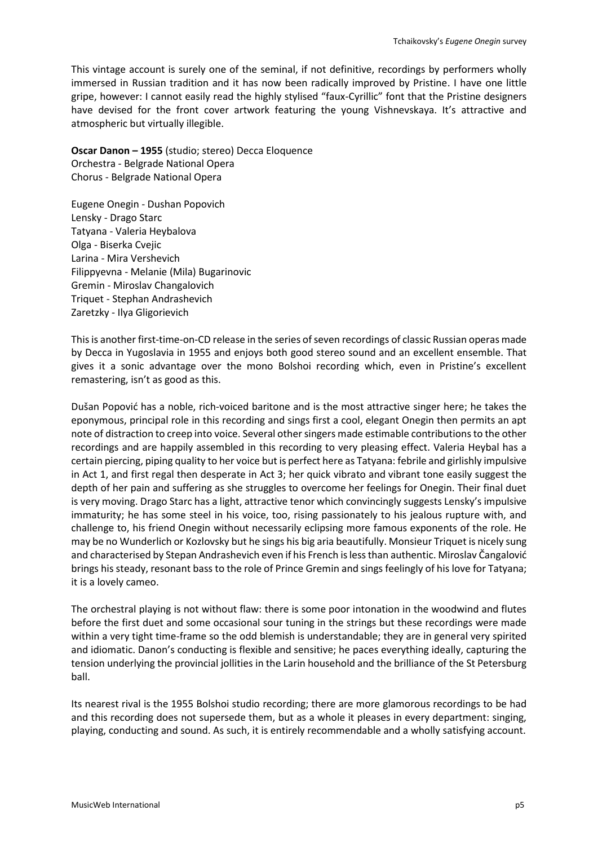This vintage account is surely one of the seminal, if not definitive, recordings by performers wholly immersed in Russian tradition and it has now been radically improved by Pristine. I have one little gripe, however: I cannot easily read the highly stylised "faux-Cyrillic" font that the Pristine designers have devised for the front cover artwork featuring the young Vishnevskaya. It's attractive and atmospheric but virtually illegible.

**Oscar Danon – 1955** (studio; stereo) Decca Eloquence Orchestra - Belgrade National Opera Chorus - Belgrade National Opera

Eugene Onegin - Dushan Popovich Lensky - Drago Starc Tatyana - Valeria Heybalova Olga - Biserka Cvejic Larina - Mira Vershevich Filippyevna - Melanie (Mila) Bugarinovic Gremin - Miroslav Changalovich Triquet - Stephan Andrashevich Zaretzky - Ilya Gligorievich

This is another first-time-on-CD release in the series of seven recordings of classic Russian operas made by Decca in Yugoslavia in 1955 and enjoys both good stereo sound and an excellent ensemble. That gives it a sonic advantage over the mono Bolshoi recording which, even in Pristine's excellent remastering, isn't as good as this.

Dušan Popović has a noble, rich-voiced baritone and is the most attractive singer here; he takes the eponymous, principal role in this recording and sings first a cool, elegant Onegin then permits an apt note of distraction to creep into voice. Several other singers made estimable contributions to the other recordings and are happily assembled in this recording to very pleasing effect. Valeria Heybal has a certain piercing, piping quality to her voice but is perfect here as Tatyana: febrile and girlishly impulsive in Act 1, and first regal then desperate in Act 3; her quick vibrato and vibrant tone easily suggest the depth of her pain and suffering as she struggles to overcome her feelings for Onegin. Their final duet is very moving. Drago Starc has a light, attractive tenor which convincingly suggests Lensky's impulsive immaturity; he has some steel in his voice, too, rising passionately to his jealous rupture with, and challenge to, his friend Onegin without necessarily eclipsing more famous exponents of the role. He may be no Wunderlich or Kozlovsky but he sings his big aria beautifully. Monsieur Triquet is nicely sung and characterised by Stepan Andrashevich even if his French is less than authentic. Miroslav Čangalović brings his steady, resonant bass to the role of Prince Gremin and sings feelingly of his love for Tatyana; it is a lovely cameo.

The orchestral playing is not without flaw: there is some poor intonation in the woodwind and flutes before the first duet and some occasional sour tuning in the strings but these recordings were made within a very tight time-frame so the odd blemish is understandable; they are in general very spirited and idiomatic. Danon's conducting is flexible and sensitive; he paces everything ideally, capturing the tension underlying the provincial jollities in the Larin household and the brilliance of the St Petersburg ball.

Its nearest rival is the 1955 Bolshoi studio recording; there are more glamorous recordings to be had and this recording does not supersede them, but as a whole it pleases in every department: singing, playing, conducting and sound. As such, it is entirely recommendable and a wholly satisfying account.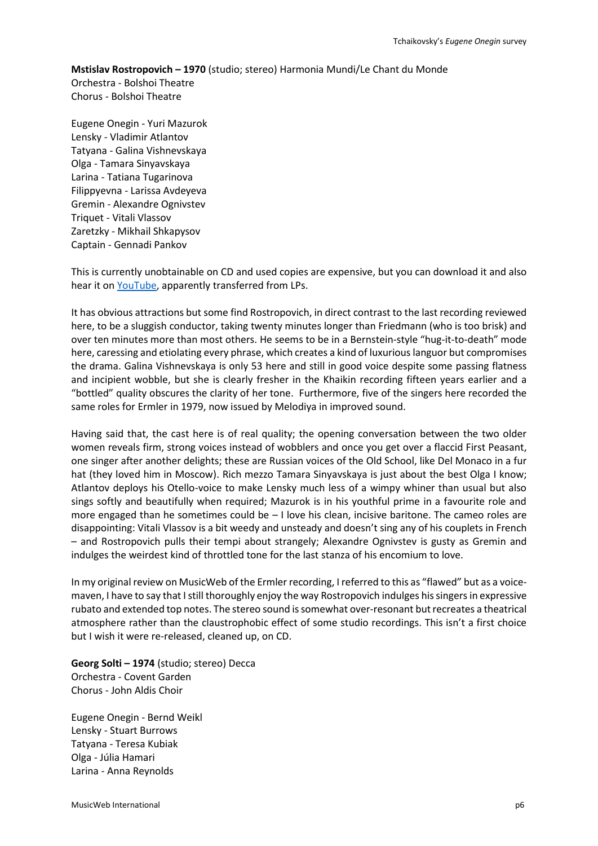## **Mstislav Rostropovich – 1970** (studio; stereo) Harmonia Mundi/Le Chant du Monde Orchestra - Bolshoi Theatre Chorus - Bolshoi Theatre

Eugene Onegin - Yuri Mazurok Lensky - Vladimir Atlantov Tatyana - Galina Vishnevskaya Olga - Tamara Sinyavskaya Larina - Tatiana Tugarinova Filippyevna - Larissa Avdeyeva Gremin - Alexandre Ognivstev Triquet - Vitali Vlassov Zaretzky - Mikhail Shkapysov Captain - Gennadi Pankov

This is currently unobtainable on CD and used copies are expensive, but you can download it and also hear it on **YouTube**, apparently transferred from LPs.

It has obvious attractions but some find Rostropovich, in direct contrast to the last recording reviewed here, to be a sluggish conductor, taking twenty minutes longer than Friedmann (who is too brisk) and over ten minutes more than most others. He seems to be in a Bernstein-style "hug-it-to-death" mode here, caressing and etiolating every phrase, which creates a kind of luxurious languor but compromises the drama. Galina Vishnevskaya is only 53 here and still in good voice despite some passing flatness and incipient wobble, but she is clearly fresher in the Khaikin recording fifteen years earlier and a "bottled" quality obscures the clarity of her tone. Furthermore, five of the singers here recorded the same roles for Ermler in 1979, now issued by Melodiya in improved sound.

Having said that, the cast here is of real quality; the opening conversation between the two older women reveals firm, strong voices instead of wobblers and once you get over a flaccid First Peasant, one singer after another delights; these are Russian voices of the Old School, like Del Monaco in a fur hat (they loved him in Moscow). Rich mezzo Tamara Sinyavskaya is just about the best Olga I know; Atlantov deploys his Otello-voice to make Lensky much less of a wimpy whiner than usual but also sings softly and beautifully when required; Mazurok is in his youthful prime in a favourite role and more engaged than he sometimes could be – I love his clean, incisive baritone. The cameo roles are disappointing: Vitali Vlassov is a bit weedy and unsteady and doesn't sing any of his couplets in French – and Rostropovich pulls their tempi about strangely; Alexandre Ognivstev is gusty as Gremin and indulges the weirdest kind of throttled tone for the last stanza of his encomium to love.

In my original review on MusicWeb of the Ermler recording, I referred to this as "flawed" but as a voicemaven, I have to say that I still thoroughly enjoy the way Rostropovich indulges his singers in expressive rubato and extended top notes. The stereo sound is somewhat over-resonant but recreates a theatrical atmosphere rather than the claustrophobic effect of some studio recordings. This isn't a first choice but I wish it were re-released, cleaned up, on CD.

**Georg Solti – 1974** (studio; stereo) Decca Orchestra - Covent Garden Chorus - John Aldis Choir

Eugene Onegin - Bernd Weikl Lensky - Stuart Burrows Tatyana - Teresa Kubiak Olga - Júlia Hamari Larina - Anna Reynolds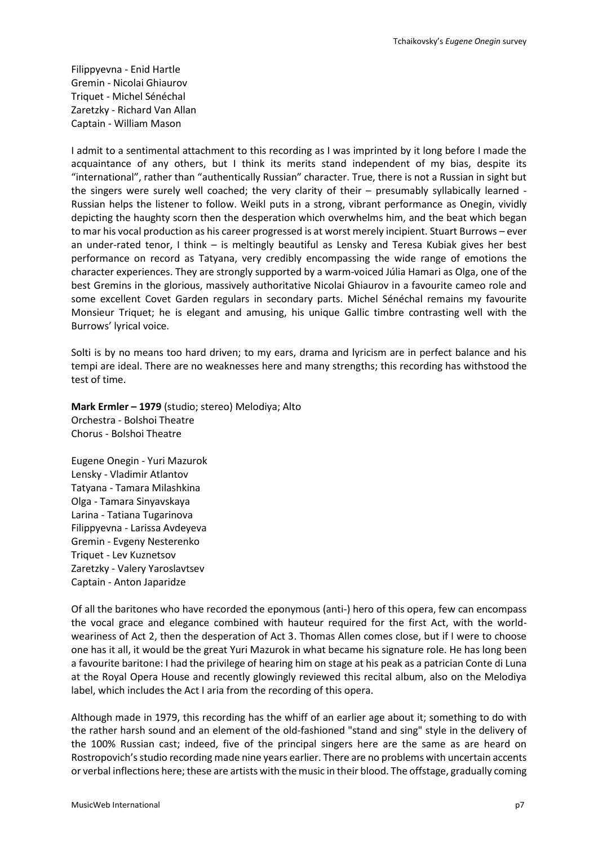Filippyevna - Enid Hartle Gremin - Nicolai Ghiaurov Triquet - Michel Sénéchal Zaretzky - Richard Van Allan Captain - William Mason

I admit to a sentimental attachment to this recording as I was imprinted by it long before I made the acquaintance of any others, but I think its merits stand independent of my bias, despite its "international", rather than "authentically Russian" character. True, there is not a Russian in sight but the singers were surely well coached; the very clarity of their – presumably syllabically learned - Russian helps the listener to follow. Weikl puts in a strong, vibrant performance as Onegin, vividly depicting the haughty scorn then the desperation which overwhelms him, and the beat which began to mar his vocal production as his career progressed is at worst merely incipient. Stuart Burrows – ever an under-rated tenor, I think – is meltingly beautiful as Lensky and Teresa Kubiak gives her best performance on record as Tatyana, very credibly encompassing the wide range of emotions the character experiences. They are strongly supported by a warm-voiced Júlia Hamari as Olga, one of the best Gremins in the glorious, massively authoritative Nicolai Ghiaurov in a favourite cameo role and some excellent Covet Garden regulars in secondary parts. Michel Sénéchal remains my favourite Monsieur Triquet; he is elegant and amusing, his unique Gallic timbre contrasting well with the Burrows' lyrical voice.

Solti is by no means too hard driven; to my ears, drama and lyricism are in perfect balance and his tempi are ideal. There are no weaknesses here and many strengths; this recording has withstood the test of time.

**Mark Ermler – 1979** (studio; stereo) Melodiya; Alto Orchestra - Bolshoi Theatre Chorus - Bolshoi Theatre

Eugene Onegin - Yuri Mazurok Lensky - Vladimir Atlantov Tatyana - Tamara Milashkina Olga - Tamara Sinyavskaya Larina - Tatiana Tugarinova Filippyevna - Larissa Avdeyeva Gremin - Evgeny Nesterenko Triquet - Lev Kuznetsov Zaretzky - Valery Yaroslavtsev Captain - Anton Japaridze

Of all the baritones who have recorded the eponymous (anti-) hero of this opera, few can encompass the vocal grace and elegance combined with hauteur required for the first Act, with the worldweariness of Act 2, then the desperation of Act 3. Thomas Allen comes close, but if I were to choose one has it all, it would be the great Yuri Mazurok in what became his signature role. He has long been a favourite baritone: I had the privilege of hearing him on stage at his peak as a patrician Conte di Luna at the Royal Opera House and recently glowingly reviewed this recital album, also on the Melodiya label, which includes the Act I aria from the recording of this opera.

Although made in 1979, this recording has the whiff of an earlier age about it; something to do with the rather harsh sound and an element of the old-fashioned "stand and sing" style in the delivery of the 100% Russian cast; indeed, five of the principal singers here are the same as are heard on Rostropovich's studio recording made nine years earlier. There are no problems with uncertain accents or verbal inflections here; these are artists with the music in their blood. The offstage, gradually coming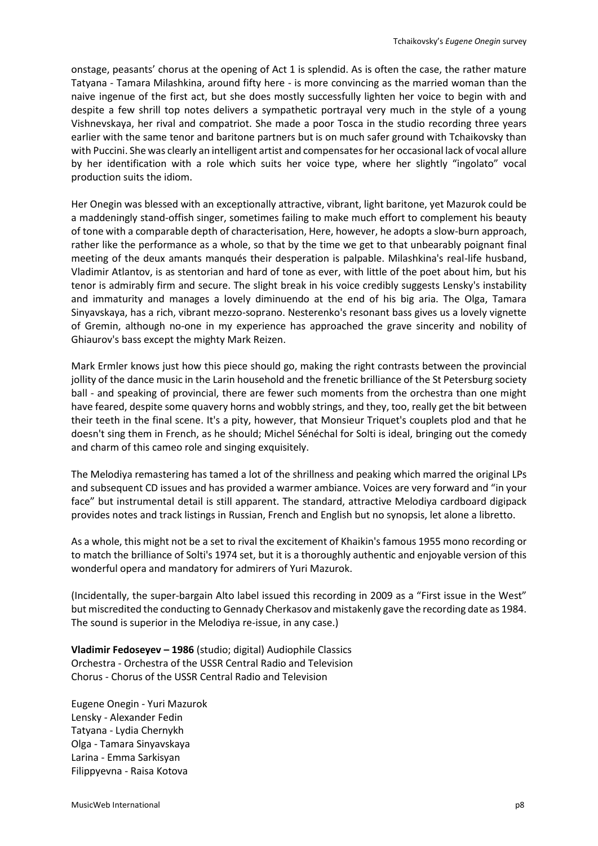onstage, peasants' chorus at the opening of Act 1 is splendid. As is often the case, the rather mature Tatyana - Tamara Milashkina, around fifty here - is more convincing as the married woman than the naive ingenue of the first act, but she does mostly successfully lighten her voice to begin with and despite a few shrill top notes delivers a sympathetic portrayal very much in the style of a young Vishnevskaya, her rival and compatriot. She made a poor Tosca in the studio recording three years earlier with the same tenor and baritone partners but is on much safer ground with Tchaikovsky than with Puccini. She was clearly an intelligent artist and compensates for her occasional lack of vocal allure by her identification with a role which suits her voice type, where her slightly "ingolato" vocal production suits the idiom.

Her Onegin was blessed with an exceptionally attractive, vibrant, light baritone, yet Mazurok could be a maddeningly stand-offish singer, sometimes failing to make much effort to complement his beauty of tone with a comparable depth of characterisation, Here, however, he adopts a slow-burn approach, rather like the performance as a whole, so that by the time we get to that unbearably poignant final meeting of the deux amants manqués their desperation is palpable. Milashkina's real-life husband, Vladimir Atlantov, is as stentorian and hard of tone as ever, with little of the poet about him, but his tenor is admirably firm and secure. The slight break in his voice credibly suggests Lensky's instability and immaturity and manages a lovely diminuendo at the end of his big aria. The Olga, Tamara Sinyavskaya, has a rich, vibrant mezzo-soprano. Nesterenko's resonant bass gives us a lovely vignette of Gremin, although no-one in my experience has approached the grave sincerity and nobility of Ghiaurov's bass except the mighty Mark Reizen.

Mark Ermler knows just how this piece should go, making the right contrasts between the provincial jollity of the dance music in the Larin household and the frenetic brilliance of the St Petersburg society ball - and speaking of provincial, there are fewer such moments from the orchestra than one might have feared, despite some quavery horns and wobbly strings, and they, too, really get the bit between their teeth in the final scene. It's a pity, however, that Monsieur Triquet's couplets plod and that he doesn't sing them in French, as he should; Michel Sénéchal for Solti is ideal, bringing out the comedy and charm of this cameo role and singing exquisitely.

The Melodiya remastering has tamed a lot of the shrillness and peaking which marred the original LPs and subsequent CD issues and has provided a warmer ambiance. Voices are very forward and "in your face" but instrumental detail is still apparent. The standard, attractive Melodiya cardboard digipack provides notes and track listings in Russian, French and English but no synopsis, let alone a libretto.

As a whole, this might not be a set to rival the excitement of Khaikin's famous 1955 mono recording or to match the brilliance of Solti's 1974 set, but it is a thoroughly authentic and enjoyable version of this wonderful opera and mandatory for admirers of Yuri Mazurok.

(Incidentally, the super-bargain Alto label issued this recording in 2009 as a "First issue in the West" but miscredited the conducting to Gennady Cherkasov and mistakenly gave the recording date as 1984. The sound is superior in the Melodiya re-issue, in any case.)

**Vladimir Fedoseyev – 1986** (studio; digital) Audiophile Classics Orchestra - Orchestra of the USSR Central Radio and Television Chorus - Chorus of the USSR Central Radio and Television

Eugene Onegin - Yuri Mazurok Lensky - Alexander Fedin Tatyana - Lydia Chernykh Olga - Tamara Sinyavskaya Larina - Emma Sarkisyan Filippyevna - Raisa Kotova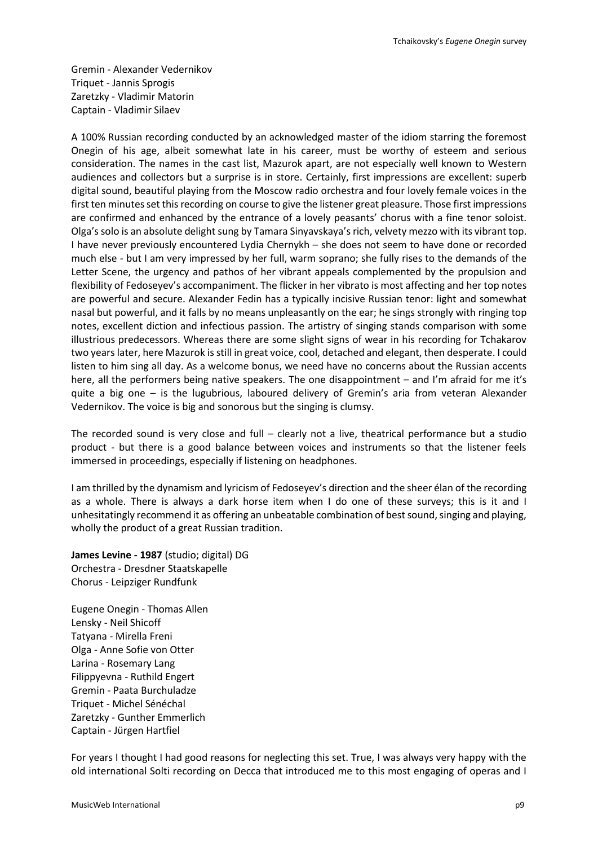Gremin - Alexander Vedernikov Triquet - Jannis Sprogis Zaretzky - Vladimir Matorin Captain - Vladimir Silaev

A 100% Russian recording conducted by an acknowledged master of the idiom starring the foremost Onegin of his age, albeit somewhat late in his career, must be worthy of esteem and serious consideration. The names in the cast list, Mazurok apart, are not especially well known to Western audiences and collectors but a surprise is in store. Certainly, first impressions are excellent: superb digital sound, beautiful playing from the Moscow radio orchestra and four lovely female voices in the first ten minutes set this recording on course to give the listener great pleasure. Those first impressions are confirmed and enhanced by the entrance of a lovely peasants' chorus with a fine tenor soloist. Olga's solo is an absolute delight sung by Tamara Sinyavskaya's rich, velvety mezzo with its vibrant top. I have never previously encountered Lydia Chernykh – she does not seem to have done or recorded much else - but I am very impressed by her full, warm soprano; she fully rises to the demands of the Letter Scene, the urgency and pathos of her vibrant appeals complemented by the propulsion and flexibility of Fedoseyev's accompaniment. The flicker in her vibrato is most affecting and her top notes are powerful and secure. Alexander Fedin has a typically incisive Russian tenor: light and somewhat nasal but powerful, and it falls by no means unpleasantly on the ear; he sings strongly with ringing top notes, excellent diction and infectious passion. The artistry of singing stands comparison with some illustrious predecessors. Whereas there are some slight signs of wear in his recording for Tchakarov two years later, here Mazurok is still in great voice, cool, detached and elegant, then desperate. I could listen to him sing all day. As a welcome bonus, we need have no concerns about the Russian accents here, all the performers being native speakers. The one disappointment – and I'm afraid for me it's quite a big one – is the lugubrious, laboured delivery of Gremin's aria from veteran Alexander Vedernikov. The voice is big and sonorous but the singing is clumsy.

The recorded sound is very close and full – clearly not a live, theatrical performance but a studio product - but there is a good balance between voices and instruments so that the listener feels immersed in proceedings, especially if listening on headphones.

I am thrilled by the dynamism and lyricism of Fedoseyev's direction and the sheer élan of the recording as a whole. There is always a dark horse item when I do one of these surveys; this is it and I unhesitatingly recommend it as offering an unbeatable combination of best sound, singing and playing, wholly the product of a great Russian tradition.

**James Levine - 1987** (studio; digital) DG Orchestra - Dresdner Staatskapelle Chorus - Leipziger Rundfunk

Eugene Onegin - Thomas Allen Lensky - Neil Shicoff Tatyana - Mirella Freni Olga - Anne Sofie von Otter Larina - Rosemary Lang Filippyevna - Ruthild Engert Gremin - Paata Burchuladze Triquet - Michel Sénéchal Zaretzky - Gunther Emmerlich Captain - Jürgen Hartfiel

For years I thought I had good reasons for neglecting this set. True, I was always very happy with the old international Solti recording on Decca that introduced me to this most engaging of operas and I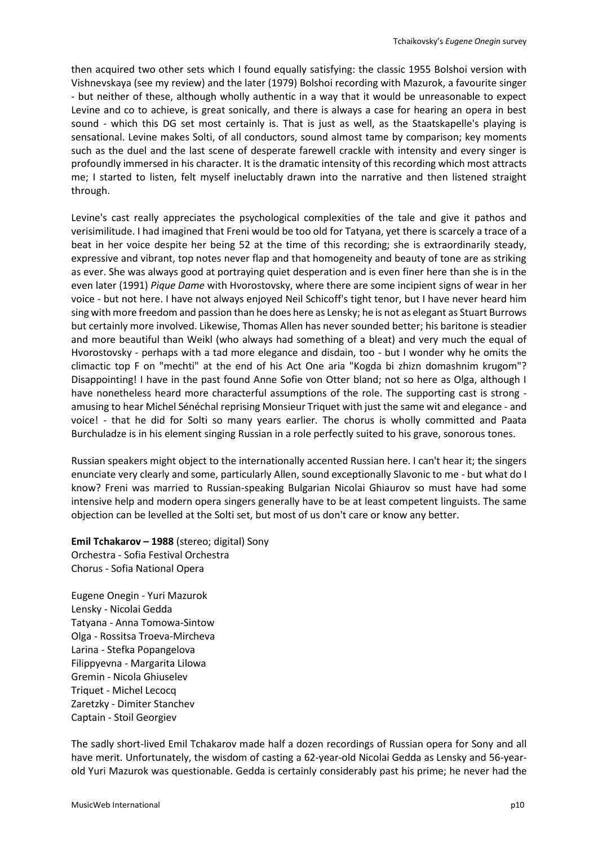then acquired two other sets which I found equally satisfying: the classic 1955 Bolshoi version with Vishnevskaya (see my review) and the later (1979) Bolshoi recording with Mazurok, a favourite singer - but neither of these, although wholly authentic in a way that it would be unreasonable to expect Levine and co to achieve, is great sonically, and there is always a case for hearing an opera in best sound - which this DG set most certainly is. That is just as well, as the Staatskapelle's playing is sensational. Levine makes Solti, of all conductors, sound almost tame by comparison; key moments such as the duel and the last scene of desperate farewell crackle with intensity and every singer is profoundly immersed in his character. It is the dramatic intensity of this recording which most attracts me; I started to listen, felt myself ineluctably drawn into the narrative and then listened straight through.

Levine's cast really appreciates the psychological complexities of the tale and give it pathos and verisimilitude. I had imagined that Freni would be too old for Tatyana, yet there is scarcely a trace of a beat in her voice despite her being 52 at the time of this recording; she is extraordinarily steady, expressive and vibrant, top notes never flap and that homogeneity and beauty of tone are as striking as ever. She was always good at portraying quiet desperation and is even finer here than she is in the even later (1991) *Pique Dame* with Hvorostovsky, where there are some incipient signs of wear in her voice - but not here. I have not always enjoyed Neil Schicoff's tight tenor, but I have never heard him sing with more freedom and passion than he does here as Lensky; he is not as elegant as Stuart Burrows but certainly more involved. Likewise, Thomas Allen has never sounded better; his baritone is steadier and more beautiful than Weikl (who always had something of a bleat) and very much the equal of Hvorostovsky - perhaps with a tad more elegance and disdain, too - but I wonder why he omits the climactic top F on "mechti" at the end of his Act One aria "Kogda bi zhizn domashnim krugom"? Disappointing! I have in the past found Anne Sofie von Otter bland; not so here as Olga, although I have nonetheless heard more characterful assumptions of the role. The supporting cast is strong amusing to hear Michel Sénéchal reprising Monsieur Triquet with just the same wit and elegance - and voice! - that he did for Solti so many years earlier. The chorus is wholly committed and Paata Burchuladze is in his element singing Russian in a role perfectly suited to his grave, sonorous tones.

Russian speakers might object to the internationally accented Russian here. I can't hear it; the singers enunciate very clearly and some, particularly Allen, sound exceptionally Slavonic to me - but what do I know? Freni was married to Russian-speaking Bulgarian Nicolai Ghiaurov so must have had some intensive help and modern opera singers generally have to be at least competent linguists. The same objection can be levelled at the Solti set, but most of us don't care or know any better.

**Emil Tchakarov – 1988** (stereo; digital) Sony Orchestra - Sofia Festival Orchestra Chorus - Sofia National Opera

Eugene Onegin - Yuri Mazurok Lensky - Nicolai Gedda Tatyana - Anna Tomowa-Sintow Olga - Rossitsa Troeva-Mircheva Larina - Stefka Popangelova Filippyevna - Margarita Lilowa Gremin - Nicola Ghiuselev Triquet - Michel Lecocq Zaretzky - Dimiter Stanchev Captain - Stoil Georgiev

The sadly short-lived Emil Tchakarov made half a dozen recordings of Russian opera for Sony and all have merit. Unfortunately, the wisdom of casting a 62-year-old Nicolai Gedda as Lensky and 56-yearold Yuri Mazurok was questionable. Gedda is certainly considerably past his prime; he never had the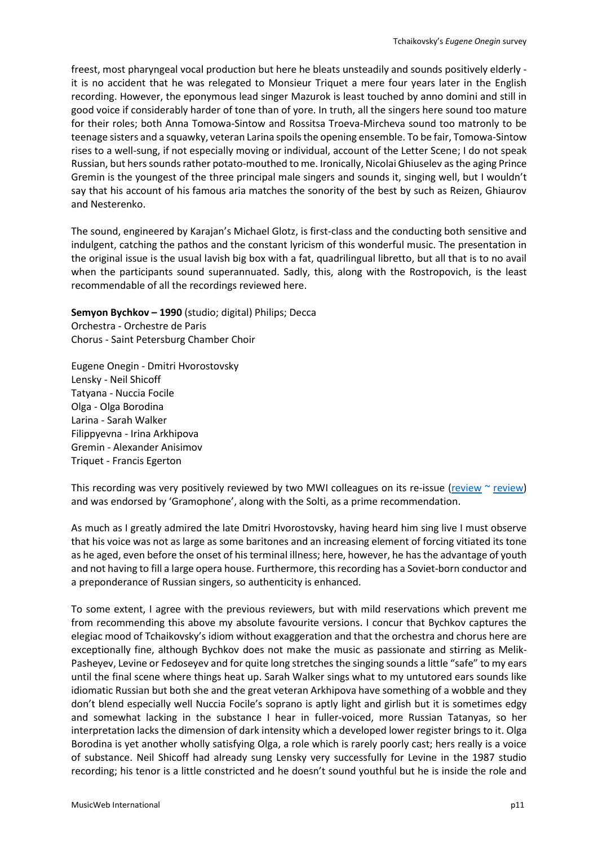freest, most pharyngeal vocal production but here he bleats unsteadily and sounds positively elderly it is no accident that he was relegated to Monsieur Triquet a mere four years later in the English recording. However, the eponymous lead singer Mazurok is least touched by anno domini and still in good voice if considerably harder of tone than of yore. In truth, all the singers here sound too mature for their roles; both Anna Tomowa-Sintow and Rossitsa Troeva-Mircheva sound too matronly to be teenage sisters and a squawky, veteran Larina spoils the opening ensemble. To be fair, Tomowa-Sintow rises to a well-sung, if not especially moving or individual, account of the Letter Scene; I do not speak Russian, but herssoundsrather potato-mouthed to me. Ironically, Nicolai Ghiuselev as the aging Prince Gremin is the youngest of the three principal male singers and sounds it, singing well, but I wouldn't say that his account of his famous aria matches the sonority of the best by such as Reizen, Ghiaurov and Nesterenko.

The sound, engineered by Karajan's Michael Glotz, is first-class and the conducting both sensitive and indulgent, catching the pathos and the constant lyricism of this wonderful music. The presentation in the original issue is the usual lavish big box with a fat, quadrilingual libretto, but all that is to no avail when the participants sound superannuated. Sadly, this, along with the Rostropovich, is the least recommendable of all the recordings reviewed here.

**Semyon Bychkov – 1990** (studio; digital) Philips; Decca Orchestra - Orchestre de Paris Chorus - Saint Petersburg Chamber Choir

Eugene Onegin - Dmitri Hvorostovsky Lensky - Neil Shicoff Tatyana - Nuccia Focile Olga - Olga Borodina Larina - Sarah Walker Filippyevna - Irina Arkhipova Gremin - Alexander Anisimov Triquet - Francis Egerton

This recording was very positively reviewed by two MWI colleagues on its re-issue [\(review](http://www.musicweb-international.com/classrev/2006/Jan06/Tchaikovsky_Onegin_4757017.htm)  $\sim$  [review\)](http://www.musicweb-international.com/classrev/2006/Feb06/Tchaikovsky_Onegin_4757017.htm) and was endorsed by 'Gramophone', along with the Solti, as a prime recommendation.

As much as I greatly admired the late Dmitri Hvorostovsky, having heard him sing live I must observe that his voice was not as large as some baritones and an increasing element of forcing vitiated its tone as he aged, even before the onset of his terminal illness; here, however, he has the advantage of youth and not having to fill a large opera house. Furthermore, this recording has a Soviet-born conductor and a preponderance of Russian singers, so authenticity is enhanced.

To some extent, I agree with the previous reviewers, but with mild reservations which prevent me from recommending this above my absolute favourite versions. I concur that Bychkov captures the elegiac mood of Tchaikovsky's idiom without exaggeration and that the orchestra and chorus here are exceptionally fine, although Bychkov does not make the music as passionate and stirring as Melik-Pasheyev, Levine or Fedoseyev and for quite long stretches the singing sounds a little "safe" to my ears until the final scene where things heat up. Sarah Walker sings what to my untutored ears sounds like idiomatic Russian but both she and the great veteran Arkhipova have something of a wobble and they don't blend especially well Nuccia Focile's soprano is aptly light and girlish but it is sometimes edgy and somewhat lacking in the substance I hear in fuller-voiced, more Russian Tatanyas, so her interpretation lacks the dimension of dark intensity which a developed lower register brings to it. Olga Borodina is yet another wholly satisfying Olga, a role which is rarely poorly cast; hers really is a voice of substance. Neil Shicoff had already sung Lensky very successfully for Levine in the 1987 studio recording; his tenor is a little constricted and he doesn't sound youthful but he is inside the role and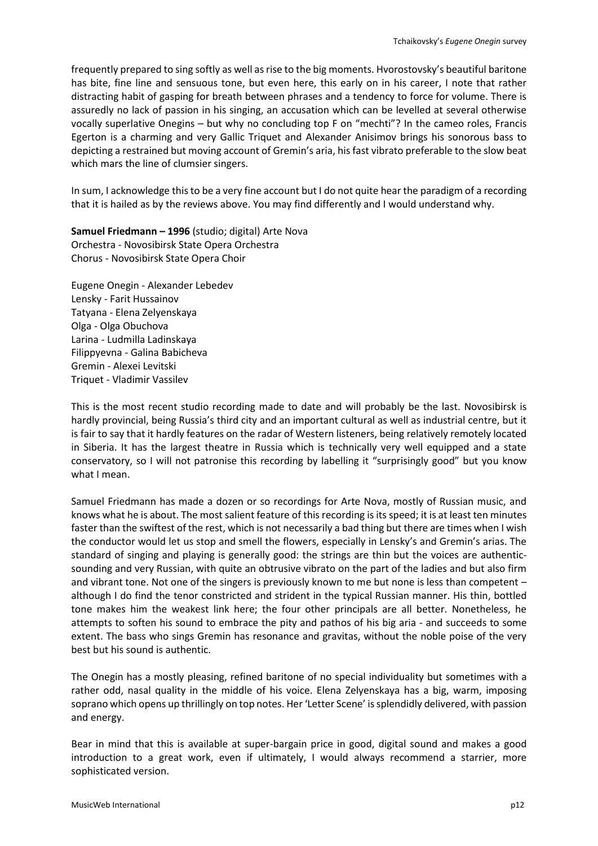frequently prepared to sing softly as well as rise to the big moments. Hvorostovsky's beautiful baritone has bite, fine line and sensuous tone, but even here, this early on in his career, I note that rather distracting habit of gasping for breath between phrases and a tendency to force for volume. There is assuredly no lack of passion in his singing, an accusation which can be levelled at several otherwise vocally superlative Onegins – but why no concluding top F on "mechti"? In the cameo roles, Francis Egerton is a charming and very Gallic Triquet and Alexander Anisimov brings his sonorous bass to depicting a restrained but moving account of Gremin's aria, his fast vibrato preferable to the slow beat which mars the line of clumsier singers.

In sum, I acknowledge this to be a very fine account but I do not quite hear the paradigm of a recording that it is hailed as by the reviews above. You may find differently and I would understand why.

**Samuel Friedmann – 1996** (studio; digital) Arte Nova Orchestra - Novosibirsk State Opera Orchestra Chorus - Novosibirsk State Opera Choir

Eugene Onegin - Alexander Lebedev Lensky - Farit Hussainov Tatyana - Elena Zelyenskaya Olga - Olga Obuchova Larina - Ludmilla Ladinskaya Filippyevna - Galina Babicheva Gremin - Alexei Levitski Triquet - Vladimir Vassilev

This is the most recent studio recording made to date and will probably be the last. Novosibirsk is hardly provincial, being Russia's third city and an important cultural as well as industrial centre, but it is fair to say that it hardly features on the radar of Western listeners, being relatively remotely located in Siberia. It has the largest theatre in Russia which is technically very well equipped and a state conservatory, so I will not patronise this recording by labelling it "surprisingly good" but you know what I mean.

Samuel Friedmann has made a dozen or so recordings for Arte Nova, mostly of Russian music, and knows what he is about. The most salient feature of this recording is its speed; it is at least ten minutes faster than the swiftest of the rest, which is not necessarily a bad thing but there are times when I wish the conductor would let us stop and smell the flowers, especially in Lensky's and Gremin's arias. The standard of singing and playing is generally good: the strings are thin but the voices are authenticsounding and very Russian, with quite an obtrusive vibrato on the part of the ladies and but also firm and vibrant tone. Not one of the singers is previously known to me but none is less than competent – although I do find the tenor constricted and strident in the typical Russian manner. His thin, bottled tone makes him the weakest link here; the four other principals are all better. Nonetheless, he attempts to soften his sound to embrace the pity and pathos of his big aria - and succeeds to some extent. The bass who sings Gremin has resonance and gravitas, without the noble poise of the very best but his sound is authentic.

The Onegin has a mostly pleasing, refined baritone of no special individuality but sometimes with a rather odd, nasal quality in the middle of his voice. Elena Zelyenskaya has a big, warm, imposing soprano which opens up thrillingly on top notes. Her 'Letter Scene' is splendidly delivered, with passion and energy.

Bear in mind that this is available at super-bargain price in good, digital sound and makes a good introduction to a great work, even if ultimately, I would always recommend a starrier, more sophisticated version.